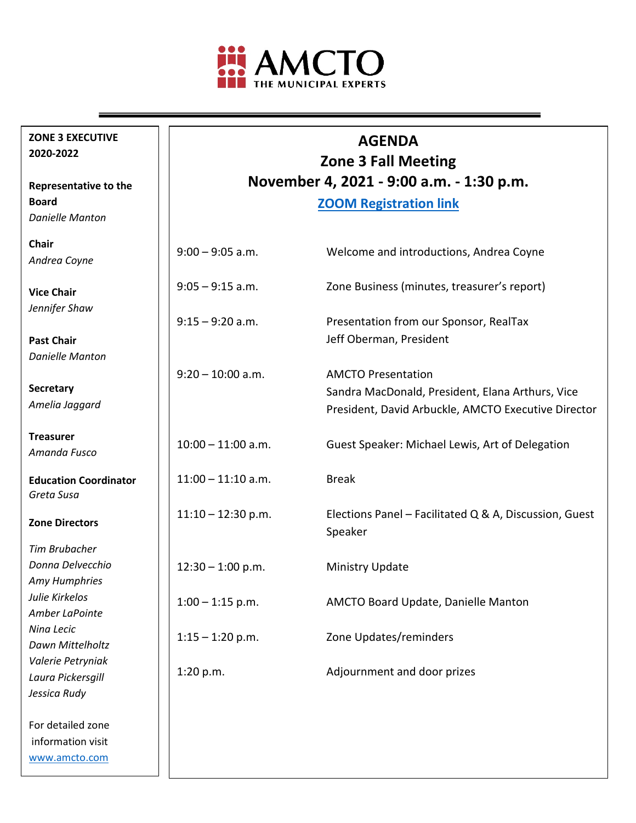

**ZONE 3 EXECUTIVE** 

**Representative to the** 

*Danielle Manton*

**2020-2022**

**Board**

# **AGENDA**

**Zone 3 Fall Meeting November 4, 2021 - 9:00 a.m. - 1:30 p.m.**

**[ZOOM Registration link](https://us06web.zoom.us/meeting/register/tZEvcOivqj4pE9w7dv4S6jklnMbWvjfRTL3V)**

| <b>Chair</b><br>Andrea Coyne               | $9:00 - 9:05$ a.m.   | Welcome and introductions, Andrea Coyne                             |
|--------------------------------------------|----------------------|---------------------------------------------------------------------|
| <b>Vice Chair</b><br>Jennifer Shaw         | $9:05 - 9:15$ a.m.   | Zone Business (minutes, treasurer's report)                         |
|                                            | $9:15 - 9:20$ a.m.   | Presentation from our Sponsor, RealTax                              |
| <b>Past Chair</b>                          |                      | Jeff Oberman, President                                             |
| <b>Danielle Manton</b>                     |                      |                                                                     |
|                                            | $9:20 - 10:00$ a.m.  | <b>AMCTO Presentation</b>                                           |
| Secretary                                  |                      | Sandra MacDonald, President, Elana Arthurs, Vice                    |
| Amelia Jaggard                             |                      | President, David Arbuckle, AMCTO Executive Director                 |
| <b>Treasurer</b><br>Amanda Fusco           | $10:00 - 11:00$ a.m. | Guest Speaker: Michael Lewis, Art of Delegation                     |
| <b>Education Coordinator</b><br>Greta Susa | $11:00 - 11:10$ a.m. | <b>Break</b>                                                        |
| <b>Zone Directors</b>                      | $11:10 - 12:30$ p.m. | Elections Panel – Facilitated $Q$ & A, Discussion, Guest<br>Speaker |
| <b>Tim Brubacher</b>                       |                      |                                                                     |
| Donna Delvecchio                           | $12:30 - 1:00$ p.m.  | Ministry Update                                                     |
| Amy Humphries                              |                      |                                                                     |
| Julie Kirkelos                             | $1:00 - 1:15$ p.m.   | AMCTO Board Update, Danielle Manton                                 |
| Amber LaPointe                             |                      |                                                                     |
| Nina Lecic<br>Dawn Mittelholtz             | $1:15 - 1:20$ p.m.   | Zone Updates/reminders                                              |
| Valerie Petryniak                          |                      |                                                                     |
| Laura Pickersgill                          | 1:20 p.m.            | Adjournment and door prizes                                         |
| Jessica Rudy                               |                      |                                                                     |
| For detailed zone                          |                      |                                                                     |
| information visit                          |                      |                                                                     |
| www.amcto.com                              |                      |                                                                     |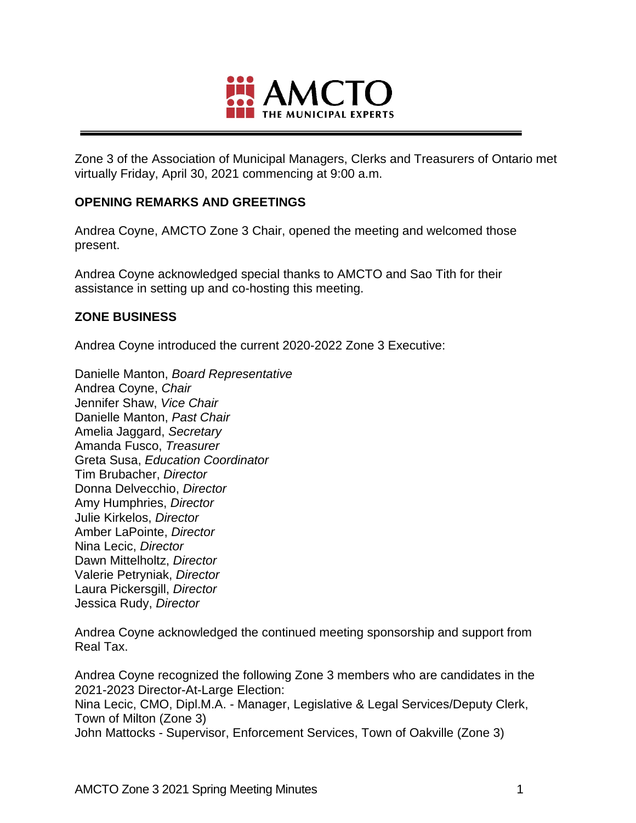

Zone 3 of the Association of Municipal Managers, Clerks and Treasurers of Ontario met virtually Friday, April 30, 2021 commencing at 9:00 a.m.

## **OPENING REMARKS AND GREETINGS**

Andrea Coyne, AMCTO Zone 3 Chair, opened the meeting and welcomed those present.

Andrea Coyne acknowledged special thanks to AMCTO and Sao Tith for their assistance in setting up and co-hosting this meeting.

# **ZONE BUSINESS**

Andrea Coyne introduced the current 2020-2022 Zone 3 Executive:

Danielle Manton, *Board Representative* Andrea Coyne, *Chair* Jennifer Shaw, *Vice Chair* Danielle Manton, *Past Chair* Amelia Jaggard, *Secretary* Amanda Fusco, *Treasurer* Greta Susa, *Education Coordinator* Tim Brubacher, *Director* Donna Delvecchio, *Director* Amy Humphries, *Director* Julie Kirkelos, *Director* Amber LaPointe, *Director* Nina Lecic, *Director* Dawn Mittelholtz, *Director* Valerie Petryniak, *Director* Laura Pickersgill, *Director* Jessica Rudy, *Director*

Andrea Coyne acknowledged the continued meeting sponsorship and support from Real Tax.

Andrea Coyne recognized the following Zone 3 members who are candidates in the 2021-2023 Director-At-Large Election: Nina Lecic, CMO, Dipl.M.A. - Manager, Legislative & Legal Services/Deputy Clerk, Town of Milton (Zone 3) John Mattocks - Supervisor, Enforcement Services, Town of Oakville (Zone 3)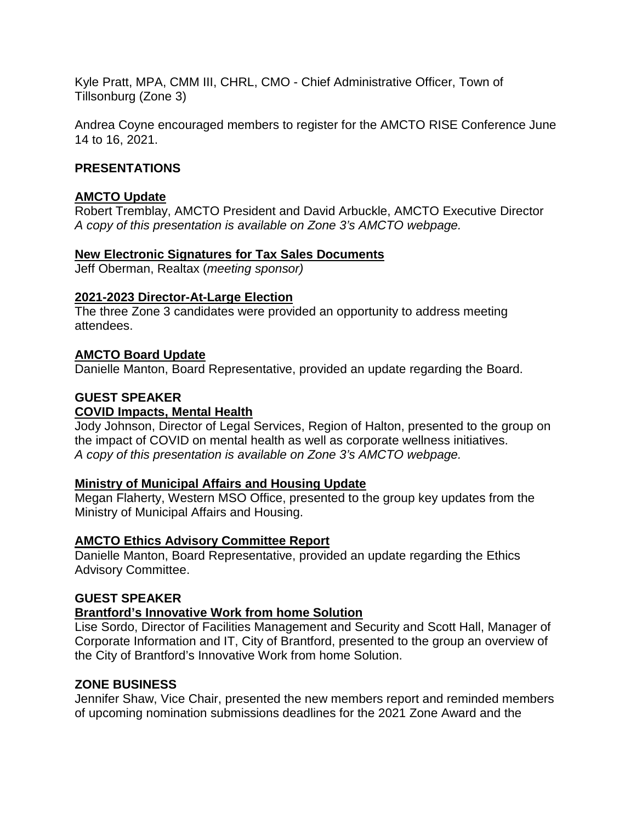Kyle Pratt, MPA, CMM III, CHRL, CMO - Chief Administrative Officer, Town of Tillsonburg (Zone 3)

Andrea Coyne encouraged members to register for the AMCTO RISE Conference June 14 to 16, 2021.

## **PRESENTATIONS**

### **AMCTO Update**

Robert Tremblay, AMCTO President and David Arbuckle, AMCTO Executive Director *A copy of this presentation is available on Zone 3's AMCTO webpage.*

# **New Electronic Signatures for Tax Sales Documents**

Jeff Oberman, Realtax (*meeting sponsor)*

### **2021-2023 Director-At-Large Election**

The three Zone 3 candidates were provided an opportunity to address meeting attendees.

# **AMCTO Board Update**

Danielle Manton, Board Representative, provided an update regarding the Board.

# **GUEST SPEAKER**

## **COVID Impacts, Mental Health**

Jody Johnson, Director of Legal Services, Region of Halton, presented to the group on the impact of COVID on mental health as well as corporate wellness initiatives. *A copy of this presentation is available on Zone 3's AMCTO webpage.*

### **Ministry of Municipal Affairs and Housing Update**

Megan Flaherty, Western MSO Office, presented to the group key updates from the Ministry of Municipal Affairs and Housing.

### **AMCTO Ethics Advisory Committee Report**

Danielle Manton, Board Representative, provided an update regarding the Ethics Advisory Committee.

### **GUEST SPEAKER**

### **Brantford's Innovative Work from home Solution**

Lise Sordo, Director of Facilities Management and Security and Scott Hall, Manager of Corporate Information and IT, City of Brantford, presented to the group an overview of the City of Brantford's Innovative Work from home Solution.

### **ZONE BUSINESS**

Jennifer Shaw, Vice Chair, presented the new members report and reminded members of upcoming nomination submissions deadlines for the 2021 Zone Award and the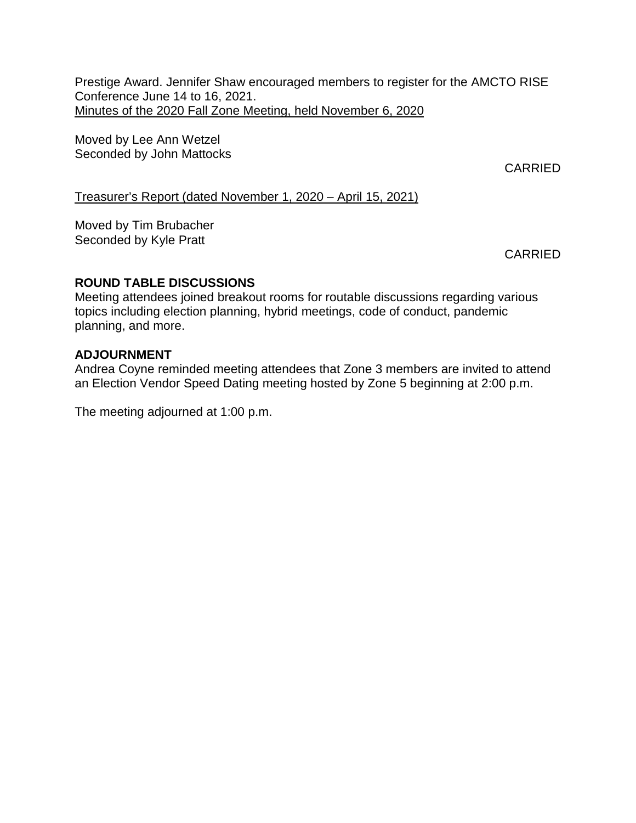Prestige Award. Jennifer Shaw encouraged members to register for the AMCTO RISE Conference June 14 to 16, 2021. Minutes of the 2020 Fall Zone Meeting, held November 6, 2020

Moved by Lee Ann Wetzel Seconded by John Mattocks

CARRIED

Treasurer's Report (dated November 1, 2020 – April 15, 2021)

Moved by Tim Brubacher Seconded by Kyle Pratt

CARRIED

# **ROUND TABLE DISCUSSIONS**

Meeting attendees joined breakout rooms for routable discussions regarding various topics including election planning, hybrid meetings, code of conduct, pandemic planning, and more.

# **ADJOURNMENT**

Andrea Coyne reminded meeting attendees that Zone 3 members are invited to attend an Election Vendor Speed Dating meeting hosted by Zone 5 beginning at 2:00 p.m.

The meeting adjourned at 1:00 p.m.